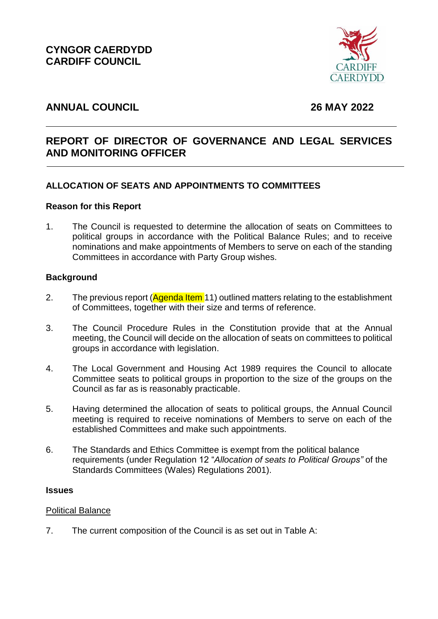**CYNGOR CAERDYDD CARDIFF COUNCIL** 



# **ANNUAL COUNCIL 26 MAY 2022**

# **REPORT OF DIRECTOR OF GOVERNANCE AND LEGAL SERVICES AND MONITORING OFFICER**

# **ALLOCATION OF SEATS AND APPOINTMENTS TO COMMITTEES**

#### **Reason for this Report**

1. The Council is requested to determine the allocation of seats on Committees to political groups in accordance with the Political Balance Rules; and to receive nominations and make appointments of Members to serve on each of the standing Committees in accordance with Party Group wishes.

#### **Background**

- 2. The previous report (Agenda Item 11) outlined matters relating to the establishment of Committees, together with their size and terms of reference.
- 3. The Council Procedure Rules in the Constitution provide that at the Annual meeting, the Council will decide on the allocation of seats on committees to political groups in accordance with legislation.
- 4. The Local Government and Housing Act 1989 requires the Council to allocate Committee seats to political groups in proportion to the size of the groups on the Council as far as is reasonably practicable.
- 5. Having determined the allocation of seats to political groups, the Annual Council meeting is required to receive nominations of Members to serve on each of the established Committees and make such appointments.
- 6. The Standards and Ethics Committee is exempt from the political balance requirements (under Regulation 12 "*Allocation of seats to Political Groups"* of the Standards Committees (Wales) Regulations 2001).

#### **Issues**

#### Political Balance

7. The current composition of the Council is as set out in Table A: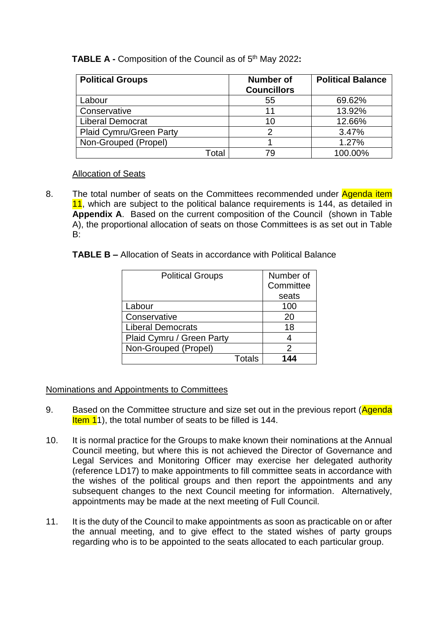# **TABLE A -** Composition of the Council as of 5th May 2022**:**

| <b>Political Groups</b>        | <b>Number of</b><br><b>Councillors</b> | <b>Political Balance</b> |
|--------------------------------|----------------------------------------|--------------------------|
| Labour                         | 55                                     | 69.62%                   |
| Conservative                   | 11                                     | 13.92%                   |
| <b>Liberal Democrat</b>        | 10                                     | 12.66%                   |
| <b>Plaid Cymru/Green Party</b> | 2                                      | 3.47%                    |
| Non-Grouped (Propel)           |                                        | 1.27%                    |
| Total                          | 79                                     | 100.00%                  |

## Allocation of Seats

- 8. The total number of seats on the Committees recommended under Agenda item 11, which are subject to the political balance requirements is 144, as detailed in **Appendix A**. Based on the current composition of the Council (shown in Table A), the proportional allocation of seats on those Committees is as set out in Table B:
	- **TABLE B –** Allocation of Seats in accordance with Political Balance

| <b>Political Groups</b>   |        | Number of |
|---------------------------|--------|-----------|
|                           |        | Committee |
|                           |        | seats     |
| Labour                    |        | 100       |
| Conservative              |        | 20        |
| <b>Liberal Democrats</b>  |        | 18        |
| Plaid Cymru / Green Party |        | 4         |
| Non-Grouped (Propel)      |        | 2         |
|                           | Totals | 144       |

# Nominations and Appointments to Committees

- 9. Based on the Committee structure and size set out in the previous report (Agenda Item 11), the total number of seats to be filled is 144.
- 10. It is normal practice for the Groups to make known their nominations at the Annual Council meeting, but where this is not achieved the Director of Governance and Legal Services and Monitoring Officer may exercise her delegated authority (reference LD17) to make appointments to fill committee seats in accordance with the wishes of the political groups and then report the appointments and any subsequent changes to the next Council meeting for information. Alternatively, appointments may be made at the next meeting of Full Council.
- 11. It is the duty of the Council to make appointments as soon as practicable on or after the annual meeting, and to give effect to the stated wishes of party groups regarding who is to be appointed to the seats allocated to each particular group.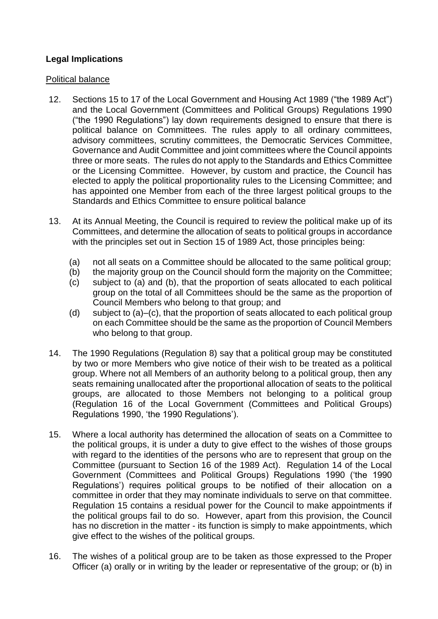# **Legal Implications**

#### Political balance

- 12. Sections 15 to 17 of the Local Government and Housing Act 1989 ("the 1989 Act") and the Local Government (Committees and Political Groups) Regulations 1990 ("the 1990 Regulations") lay down requirements designed to ensure that there is political balance on Committees. The rules apply to all ordinary committees, advisory committees, scrutiny committees, the Democratic Services Committee, Governance and Audit Committee and joint committees where the Council appoints three or more seats. The rules do not apply to the Standards and Ethics Committee or the Licensing Committee. However, by custom and practice, the Council has elected to apply the political proportionality rules to the Licensing Committee; and has appointed one Member from each of the three largest political groups to the Standards and Ethics Committee to ensure political balance
- 13. At its Annual Meeting, the Council is required to review the political make up of its Committees, and determine the allocation of seats to political groups in accordance with the principles set out in Section 15 of 1989 Act, those principles being:
	- (a) not all seats on a Committee should be allocated to the same political group;
	- (b) the majority group on the Council should form the majority on the Committee;
	- (c) subject to (a) and (b), that the proportion of seats allocated to each political group on the total of all Committees should be the same as the proportion of Council Members who belong to that group; and
	- (d) subject to (a)–(c), that the proportion of seats allocated to each political group on each Committee should be the same as the proportion of Council Members who belong to that group.
- 14. The 1990 Regulations (Regulation 8) say that a political group may be constituted by two or more Members who give notice of their wish to be treated as a political group. Where not all Members of an authority belong to a political group, then any seats remaining unallocated after the proportional allocation of seats to the political groups, are allocated to those Members not belonging to a political group (Regulation 16 of the Local Government (Committees and Political Groups) Regulations 1990, 'the 1990 Regulations').
- 15. Where a local authority has determined the allocation of seats on a Committee to the political groups, it is under a duty to give effect to the wishes of those groups with regard to the identities of the persons who are to represent that group on the Committee (pursuant to Section 16 of the 1989 Act). Regulation 14 of the Local Government (Committees and Political Groups) Regulations 1990 ('the 1990 Regulations') requires political groups to be notified of their allocation on a committee in order that they may nominate individuals to serve on that committee. Regulation 15 contains a residual power for the Council to make appointments if the political groups fail to do so. However, apart from this provision, the Council has no discretion in the matter - its function is simply to make appointments, which give effect to the wishes of the political groups.
- 16. The wishes of a political group are to be taken as those expressed to the Proper Officer (a) orally or in writing by the leader or representative of the group; or (b) in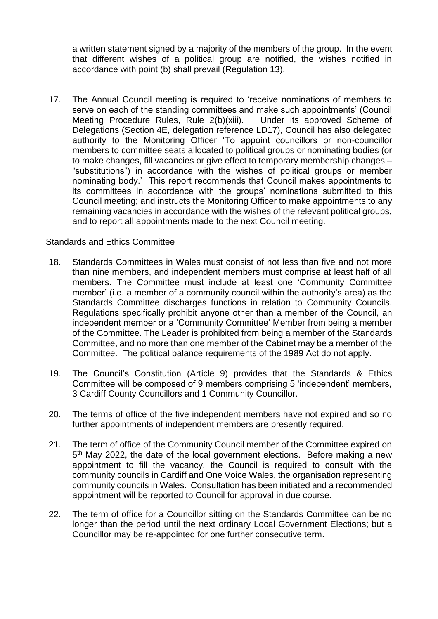a written statement signed by a majority of the members of the group. In the event that different wishes of a political group are notified, the wishes notified in accordance with point (b) shall prevail (Regulation 13).

17. The Annual Council meeting is required to 'receive nominations of members to serve on each of the standing committees and make such appointments' (Council Meeting Procedure Rules, Rule 2(b)(xiii). Under its approved Scheme of Delegations (Section 4E, delegation reference LD17), Council has also delegated authority to the Monitoring Officer 'To appoint councillors or non-councillor members to committee seats allocated to political groups or nominating bodies (or to make changes, fill vacancies or give effect to temporary membership changes – "substitutions") in accordance with the wishes of political groups or member nominating body.' This report recommends that Council makes appointments to its committees in accordance with the groups' nominations submitted to this Council meeting; and instructs the Monitoring Officer to make appointments to any remaining vacancies in accordance with the wishes of the relevant political groups, and to report all appointments made to the next Council meeting.

#### Standards and Ethics Committee

- 18. Standards Committees in Wales must consist of not less than five and not more than nine members, and independent members must comprise at least half of all members. The Committee must include at least one 'Community Committee member' (i.e. a member of a community council within the authority's area) as the Standards Committee discharges functions in relation to Community Councils. Regulations specifically prohibit anyone other than a member of the Council, an independent member or a 'Community Committee' Member from being a member of the Committee. The Leader is prohibited from being a member of the Standards Committee, and no more than one member of the Cabinet may be a member of the Committee. The political balance requirements of the 1989 Act do not apply.
- 19. The Council's Constitution (Article 9) provides that the Standards & Ethics Committee will be composed of 9 members comprising 5 'independent' members, 3 Cardiff County Councillors and 1 Community Councillor.
- 20. The terms of office of the five independent members have not expired and so no further appointments of independent members are presently required.
- 21. The term of office of the Community Council member of the Committee expired on 5<sup>th</sup> May 2022, the date of the local government elections. Before making a new appointment to fill the vacancy, the Council is required to consult with the community councils in Cardiff and One Voice Wales, the organisation representing community councils in Wales. Consultation has been initiated and a recommended appointment will be reported to Council for approval in due course.
- 22. The term of office for a Councillor sitting on the Standards Committee can be no longer than the period until the next ordinary Local Government Elections; but a Councillor may be re-appointed for one further consecutive term.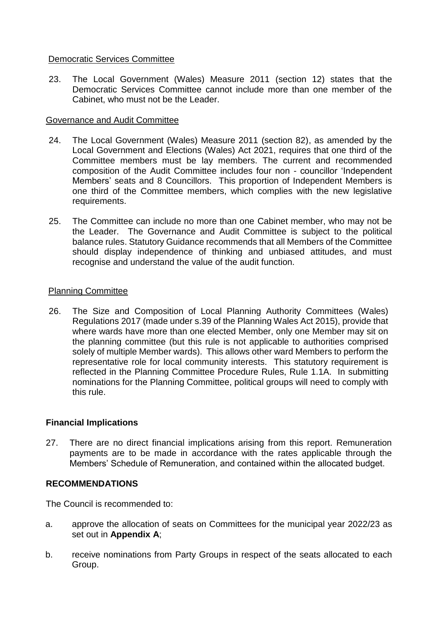#### Democratic Services Committee

23. The Local Government (Wales) Measure 2011 (section 12) states that the Democratic Services Committee cannot include more than one member of the Cabinet, who must not be the Leader.

## Governance and Audit Committee

- 24. The Local Government (Wales) Measure 2011 (section 82), as amended by the Local Government and Elections (Wales) Act 2021, requires that one third of the Committee members must be lay members. The current and recommended composition of the Audit Committee includes four non - councillor 'Independent Members' seats and 8 Councillors. This proportion of Independent Members is one third of the Committee members, which complies with the new legislative requirements.
- 25. The Committee can include no more than one Cabinet member, who may not be the Leader. The Governance and Audit Committee is subject to the political balance rules. Statutory Guidance recommends that all Members of the Committee should display independence of thinking and unbiased attitudes, and must recognise and understand the value of the audit function.

## Planning Committee

26. The Size and Composition of Local Planning Authority Committees (Wales) Regulations 2017 (made under s.39 of the Planning Wales Act 2015), provide that where wards have more than one elected Member, only one Member may sit on the planning committee (but this rule is not applicable to authorities comprised solely of multiple Member wards). This allows other ward Members to perform the representative role for local community interests. This statutory requirement is reflected in the Planning Committee Procedure Rules, Rule 1.1A. In submitting nominations for the Planning Committee, political groups will need to comply with this rule.

# **Financial Implications**

27. There are no direct financial implications arising from this report. Remuneration payments are to be made in accordance with the rates applicable through the Members' Schedule of Remuneration, and contained within the allocated budget.

# **RECOMMENDATIONS**

The Council is recommended to:

- a. approve the allocation of seats on Committees for the municipal year 2022/23 as set out in **Appendix A**;
- b. receive nominations from Party Groups in respect of the seats allocated to each Group.